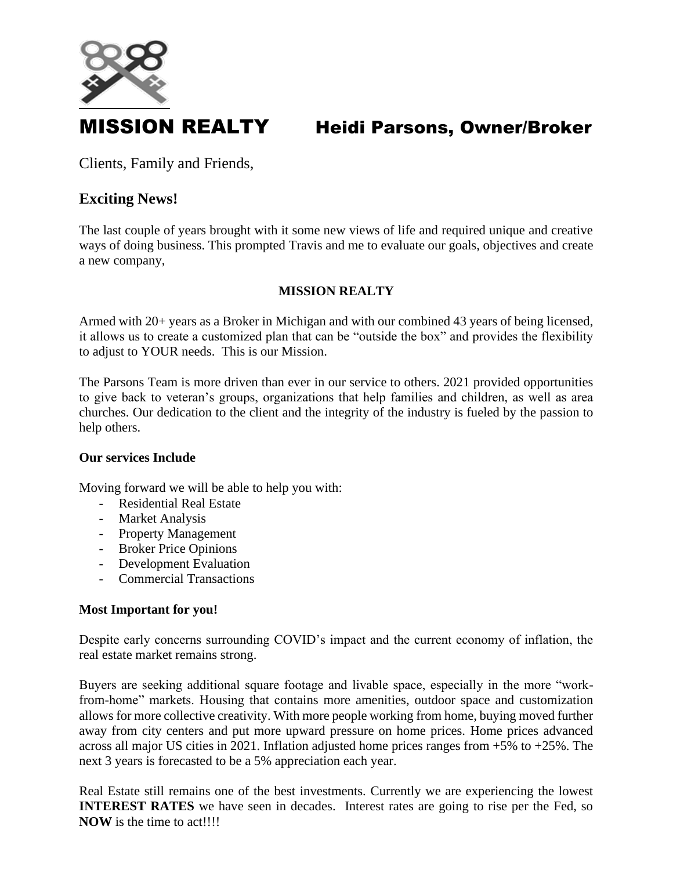

# MISSION REALTY Heidi Parsons, Owner/Broker

Clients, Family and Friends,

## **Exciting News!**

The last couple of years brought with it some new views of life and required unique and creative ways of doing business. This prompted Travis and me to evaluate our goals, objectives and create a new company,

## **MISSION REALTY**

Armed with 20+ years as a Broker in Michigan and with our combined 43 years of being licensed, it allows us to create a customized plan that can be "outside the box" and provides the flexibility to adjust to YOUR needs. This is our Mission.

The Parsons Team is more driven than ever in our service to others. 2021 provided opportunities to give back to veteran's groups, organizations that help families and children, as well as area churches. Our dedication to the client and the integrity of the industry is fueled by the passion to help others.

### **Our services Include**

Moving forward we will be able to help you with:

- Residential Real Estate
- Market Analysis
- Property Management
- Broker Price Opinions
- Development Evaluation
- Commercial Transactions

### **Most Important for you!**

Despite early concerns surrounding COVID's impact and the current economy of inflation, the real estate market remains strong.

Buyers are seeking additional square footage and livable space, especially in the more "workfrom-home" markets. Housing that contains more amenities, outdoor space and customization allows for more collective creativity. With more people working from home, buying moved further away from city centers and put more upward pressure on home prices. Home prices advanced across all major US cities in 2021. Inflation adjusted home prices ranges from +5% to +25%. The next 3 years is forecasted to be a 5% appreciation each year.

Real Estate still remains one of the best investments. Currently we are experiencing the lowest **INTEREST RATES** we have seen in decades. Interest rates are going to rise per the Fed, so **NOW** is the time to act!!!!